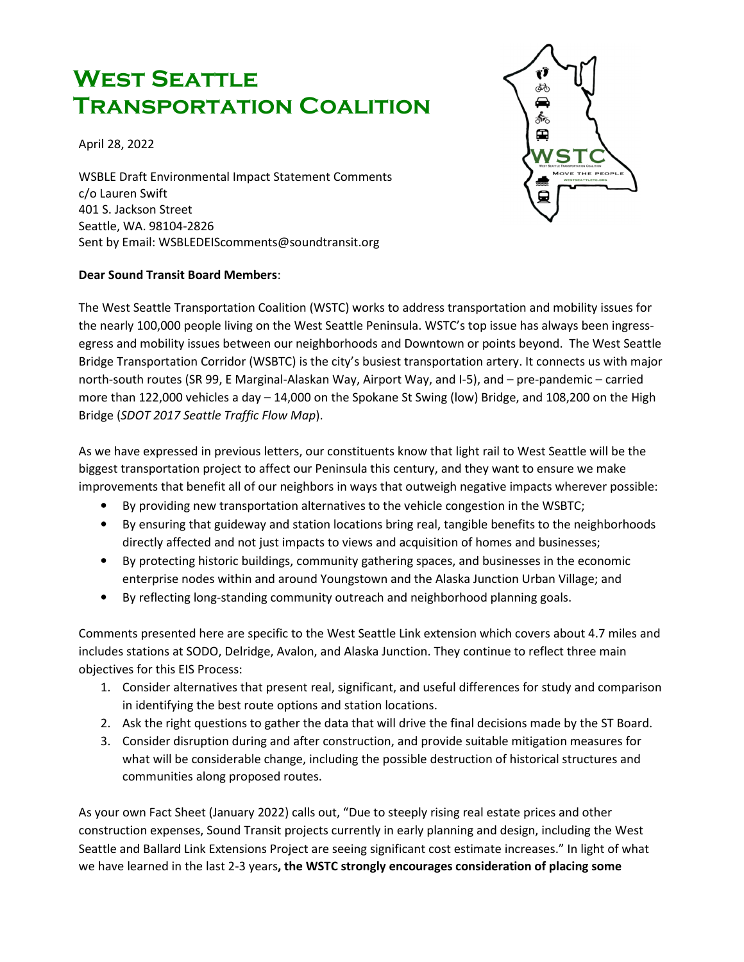## WEST SEATTLE Transportation Coalition

April 28, 2022

WSBLE Draft Environmental Impact Statement Comments c/o Lauren Swift 401 S. Jackson Street Seattle, WA. 98104-2826 Sent by Email: WSBLEDEIScomments@soundtransit.org

## Dear Sound Transit Board Members:



The West Seattle Transportation Coalition (WSTC) works to address transportation and mobility issues for the nearly 100,000 people living on the West Seattle Peninsula. WSTC's top issue has always been ingressegress and mobility issues between our neighborhoods and Downtown or points beyond. The West Seattle Bridge Transportation Corridor (WSBTC) is the city's busiest transportation artery. It connects us with major north-south routes (SR 99, E Marginal-Alaskan Way, Airport Way, and I-5), and – pre-pandemic – carried more than 122,000 vehicles a day – 14,000 on the Spokane St Swing (low) Bridge, and 108,200 on the High Bridge (SDOT 2017 Seattle Traffic Flow Map).

As we have expressed in previous letters, our constituents know that light rail to West Seattle will be the biggest transportation project to affect our Peninsula this century, and they want to ensure we make improvements that benefit all of our neighbors in ways that outweigh negative impacts wherever possible:

- By providing new transportation alternatives to the vehicle congestion in the WSBTC;
- By ensuring that guideway and station locations bring real, tangible benefits to the neighborhoods directly affected and not just impacts to views and acquisition of homes and businesses;
- By protecting historic buildings, community gathering spaces, and businesses in the economic enterprise nodes within and around Youngstown and the Alaska Junction Urban Village; and
- By reflecting long-standing community outreach and neighborhood planning goals.

Comments presented here are specific to the West Seattle Link extension which covers about 4.7 miles and includes stations at SODO, Delridge, Avalon, and Alaska Junction. They continue to reflect three main objectives for this EIS Process:

- 1. Consider alternatives that present real, significant, and useful differences for study and comparison in identifying the best route options and station locations.
- 2. Ask the right questions to gather the data that will drive the final decisions made by the ST Board.
- 3. Consider disruption during and after construction, and provide suitable mitigation measures for what will be considerable change, including the possible destruction of historical structures and communities along proposed routes.

As your own Fact Sheet (January 2022) calls out, "Due to steeply rising real estate prices and other construction expenses, Sound Transit projects currently in early planning and design, including the West Seattle and Ballard Link Extensions Project are seeing significant cost estimate increases." In light of what we have learned in the last 2-3 years, the WSTC strongly encourages consideration of placing some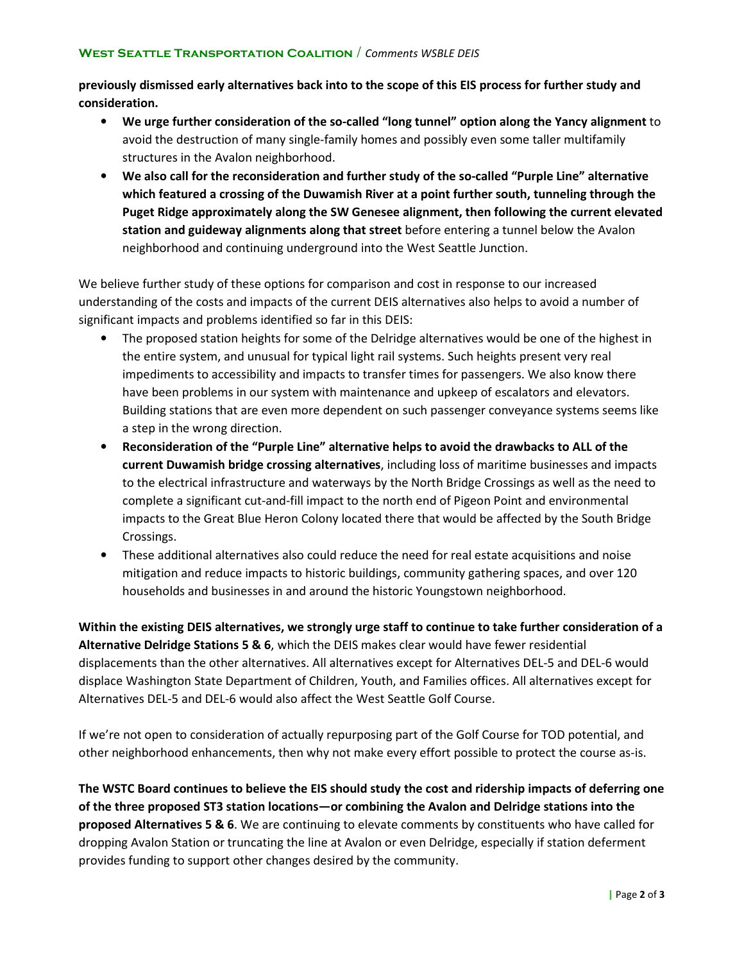## WEST SEATTLE TRANSPORTATION COALITION / Comments WSBLE DEIS

previously dismissed early alternatives back into to the scope of this EIS process for further study and consideration.

- We urge further consideration of the so-called "long tunnel" option along the Yancy alignment to avoid the destruction of many single-family homes and possibly even some taller multifamily structures in the Avalon neighborhood.
- We also call for the reconsideration and further study of the so-called "Purple Line" alternative which featured a crossing of the Duwamish River at a point further south, tunneling through the Puget Ridge approximately along the SW Genesee alignment, then following the current elevated station and guideway alignments along that street before entering a tunnel below the Avalon neighborhood and continuing underground into the West Seattle Junction.

We believe further study of these options for comparison and cost in response to our increased understanding of the costs and impacts of the current DEIS alternatives also helps to avoid a number of significant impacts and problems identified so far in this DEIS:

- The proposed station heights for some of the Delridge alternatives would be one of the highest in the entire system, and unusual for typical light rail systems. Such heights present very real impediments to accessibility and impacts to transfer times for passengers. We also know there have been problems in our system with maintenance and upkeep of escalators and elevators. Building stations that are even more dependent on such passenger conveyance systems seems like a step in the wrong direction.
- Reconsideration of the "Purple Line" alternative helps to avoid the drawbacks to ALL of the current Duwamish bridge crossing alternatives, including loss of maritime businesses and impacts to the electrical infrastructure and waterways by the North Bridge Crossings as well as the need to complete a significant cut-and-fill impact to the north end of Pigeon Point and environmental impacts to the Great Blue Heron Colony located there that would be affected by the South Bridge Crossings.
- These additional alternatives also could reduce the need for real estate acquisitions and noise mitigation and reduce impacts to historic buildings, community gathering spaces, and over 120 households and businesses in and around the historic Youngstown neighborhood.

Within the existing DEIS alternatives, we strongly urge staff to continue to take further consideration of a Alternative Delridge Stations 5 & 6, which the DEIS makes clear would have fewer residential displacements than the other alternatives. All alternatives except for Alternatives DEL-5 and DEL-6 would displace Washington State Department of Children, Youth, and Families offices. All alternatives except for Alternatives DEL-5 and DEL-6 would also affect the West Seattle Golf Course.

If we're not open to consideration of actually repurposing part of the Golf Course for TOD potential, and other neighborhood enhancements, then why not make every effort possible to protect the course as-is.

The WSTC Board continues to believe the EIS should study the cost and ridership impacts of deferring one of the three proposed ST3 station locations—or combining the Avalon and Delridge stations into the proposed Alternatives 5 & 6. We are continuing to elevate comments by constituents who have called for dropping Avalon Station or truncating the line at Avalon or even Delridge, especially if station deferment provides funding to support other changes desired by the community.